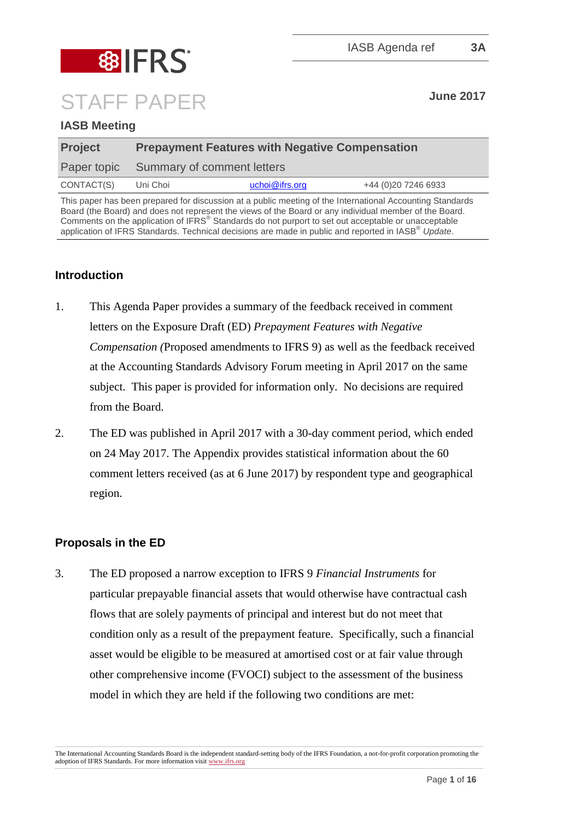

# STAFF PAPER **June 2017**

## **IASB Meeting**

| <b>Project</b> | <b>Prepayment Features with Negative Compensation</b> |                |                      |
|----------------|-------------------------------------------------------|----------------|----------------------|
|                | Paper topic Summary of comment letters                |                |                      |
| CONTACT(S)     | Uni Choi                                              | uchoi@ifrs.org | +44 (0) 20 7246 6933 |

This paper has been prepared for discussion at a public meeting of the International Accounting Standards Board (the Board) and does not represent the views of the Board or any individual member of the Board. Comments on the application of IFRS® Standards do not purport to set out acceptable or unacceptable application of IFRS Standards. Technical decisions are made in public and reported in IASB® *Update*.

# **Introduction**

- 1. This Agenda Paper provides a summary of the feedback received in comment letters on the Exposure Draft (ED) *Prepayment Features with Negative Compensation (*Proposed amendments to IFRS 9) as well as the feedback received at the Accounting Standards Advisory Forum meeting in April 2017 on the same subject. This paper is provided for information only. No decisions are required from the Board.
- 2. The ED was published in April 2017 with a 30-day comment period, which ended on 24 May 2017. The Appendix provides statistical information about the 60 comment letters received (as at 6 June 2017) by respondent type and geographical region.

# **Proposals in the ED**

3. The ED proposed a narrow exception to IFRS 9 *Financial Instruments* for particular prepayable financial assets that would otherwise have contractual cash flows that are solely payments of principal and interest but do not meet that condition only as a result of the prepayment feature. Specifically, such a financial asset would be eligible to be measured at amortised cost or at fair value through other comprehensive income (FVOCI) subject to the assessment of the business model in which they are held if the following two conditions are met:

The International Accounting Standards Board is the independent standard-setting body of the IFRS Foundation, a not-for-profit corporation promoting the adoption of IFRS Standards. For more information visi[t www.ifrs.org](http://www.ifrs.org/)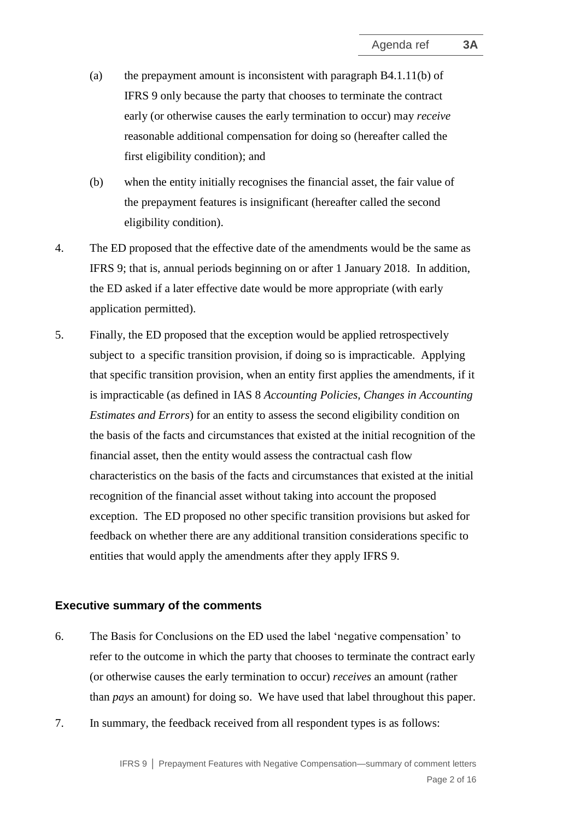- (a) the prepayment amount is inconsistent with paragraph B4.1.11(b) of IFRS 9 only because the party that chooses to terminate the contract early (or otherwise causes the early termination to occur) may *receive* reasonable additional compensation for doing so (hereafter called the first eligibility condition); and
- (b) when the entity initially recognises the financial asset, the fair value of the prepayment features is insignificant (hereafter called the second eligibility condition).
- 4. The ED proposed that the effective date of the amendments would be the same as IFRS 9; that is, annual periods beginning on or after 1 January 2018. In addition, the ED asked if a later effective date would be more appropriate (with early application permitted).
- 5. Finally, the ED proposed that the exception would be applied retrospectively subject to a specific transition provision, if doing so is impracticable. Applying that specific transition provision, when an entity first applies the amendments, if it is impracticable (as defined in IAS 8 *Accounting Policies, Changes in Accounting Estimates and Errors*) for an entity to assess the second eligibility condition on the basis of the facts and circumstances that existed at the initial recognition of the financial asset, then the entity would assess the contractual cash flow characteristics on the basis of the facts and circumstances that existed at the initial recognition of the financial asset without taking into account the proposed exception. The ED proposed no other specific transition provisions but asked for feedback on whether there are any additional transition considerations specific to entities that would apply the amendments after they apply IFRS 9.

#### **Executive summary of the comments**

- 6. The Basis for Conclusions on the ED used the label 'negative compensation' to refer to the outcome in which the party that chooses to terminate the contract early (or otherwise causes the early termination to occur) *receives* an amount (rather than *pays* an amount) for doing so. We have used that label throughout this paper.
- 7. In summary, the feedback received from all respondent types is as follows: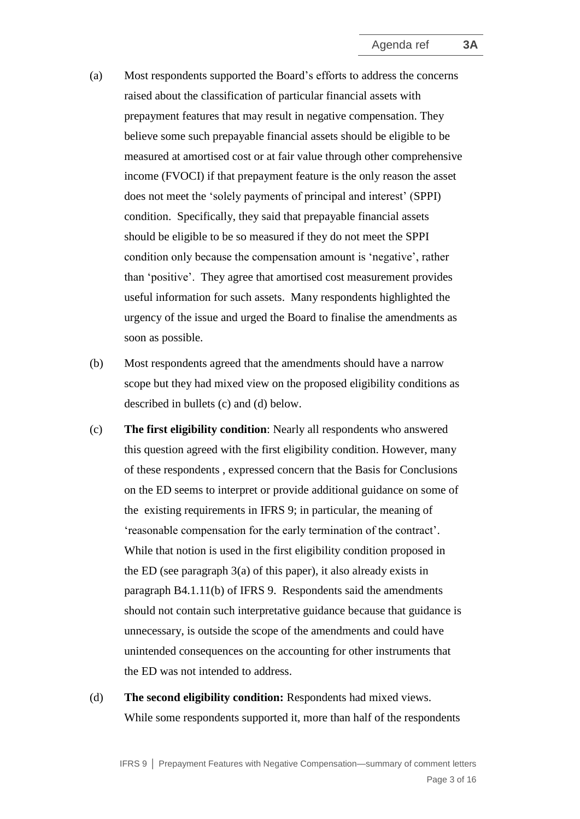- (a) Most respondents supported the Board's efforts to address the concerns raised about the classification of particular financial assets with prepayment features that may result in negative compensation. They believe some such prepayable financial assets should be eligible to be measured at amortised cost or at fair value through other comprehensive income (FVOCI) if that prepayment feature is the only reason the asset does not meet the 'solely payments of principal and interest' (SPPI) condition. Specifically, they said that prepayable financial assets should be eligible to be so measured if they do not meet the SPPI condition only because the compensation amount is 'negative', rather than 'positive'. They agree that amortised cost measurement provides useful information for such assets. Many respondents highlighted the urgency of the issue and urged the Board to finalise the amendments as soon as possible.
- (b) Most respondents agreed that the amendments should have a narrow scope but they had mixed view on the proposed eligibility conditions as described in bullets (c) and (d) below.
- (c) **The first eligibility condition**: Nearly all respondents who answered this question agreed with the first eligibility condition. However, many of these respondents , expressed concern that the Basis for Conclusions on the ED seems to interpret or provide additional guidance on some of the existing requirements in IFRS 9; in particular, the meaning of 'reasonable compensation for the early termination of the contract'. While that notion is used in the first eligibility condition proposed in the ED (see paragraph 3(a) of this paper), it also already exists in paragraph B4.1.11(b) of IFRS 9. Respondents said the amendments should not contain such interpretative guidance because that guidance is unnecessary, is outside the scope of the amendments and could have unintended consequences on the accounting for other instruments that the ED was not intended to address.
- (d) **The second eligibility condition:** Respondents had mixed views. While some respondents supported it, more than half of the respondents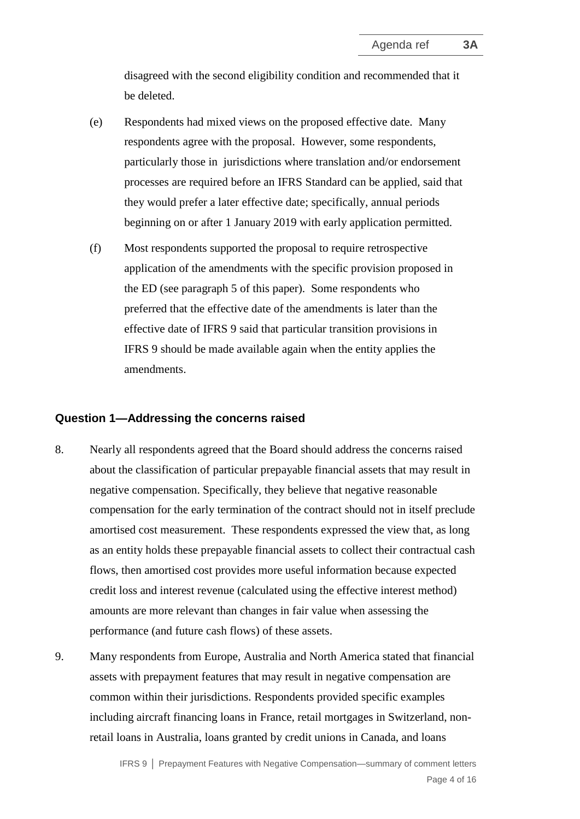disagreed with the second eligibility condition and recommended that it be deleted.

- (e) Respondents had mixed views on the proposed effective date. Many respondents agree with the proposal. However, some respondents, particularly those in jurisdictions where translation and/or endorsement processes are required before an IFRS Standard can be applied, said that they would prefer a later effective date; specifically, annual periods beginning on or after 1 January 2019 with early application permitted.
- (f) Most respondents supported the proposal to require retrospective application of the amendments with the specific provision proposed in the ED (see paragraph 5 of this paper). Some respondents who preferred that the effective date of the amendments is later than the effective date of IFRS 9 said that particular transition provisions in IFRS 9 should be made available again when the entity applies the amendments.

#### **Question 1—Addressing the concerns raised**

- 8. Nearly all respondents agreed that the Board should address the concerns raised about the classification of particular prepayable financial assets that may result in negative compensation. Specifically, they believe that negative reasonable compensation for the early termination of the contract should not in itself preclude amortised cost measurement. These respondents expressed the view that, as long as an entity holds these prepayable financial assets to collect their contractual cash flows, then amortised cost provides more useful information because expected credit loss and interest revenue (calculated using the effective interest method) amounts are more relevant than changes in fair value when assessing the performance (and future cash flows) of these assets.
- 9. Many respondents from Europe, Australia and North America stated that financial assets with prepayment features that may result in negative compensation are common within their jurisdictions. Respondents provided specific examples including aircraft financing loans in France, retail mortgages in Switzerland, nonretail loans in Australia, loans granted by credit unions in Canada, and loans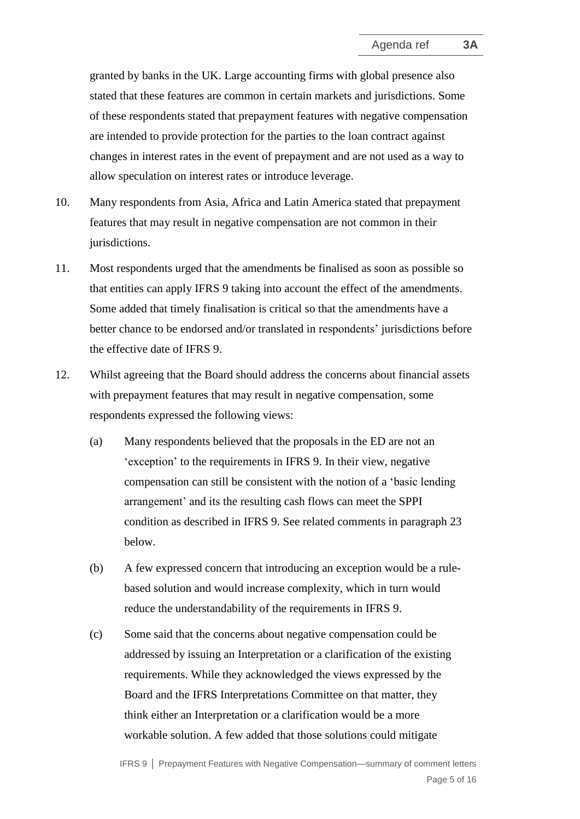granted by banks in the UK. Large accounting firms with global presence also stated that these features are common in certain markets and jurisdictions. Some of these respondents stated that prepayment features with negative compensation are intended to provide protection for the parties to the loan contract against changes in interest rates in the event of prepayment and are not used as a way to allow speculation on interest rates or introduce leverage.

- 10. Many respondents from Asia, Africa and Latin America stated that prepayment features that may result in negative compensation are not common in their jurisdictions.
- 11. Most respondents urged that the amendments be finalised as soon as possible so that entities can apply IFRS 9 taking into account the effect of the amendments. Some added that timely finalisation is critical so that the amendments have a better chance to be endorsed and/or translated in respondents' jurisdictions before the effective date of IFRS 9.
- 12. Whilst agreeing that the Board should address the concerns about financial assets with prepayment features that may result in negative compensation, some respondents expressed the following views:
	- (a) Many respondents believed that the proposals in the ED are not an 'exception' to the requirements in IFRS 9. In their view, negative compensation can still be consistent with the notion of a 'basic lending arrangement' and its the resulting cash flows can meet the SPPI condition as described in IFRS 9. See related comments in paragraph 23 below.
	- (b) A few expressed concern that introducing an exception would be a rulebased solution and would increase complexity, which in turn would reduce the understandability of the requirements in IFRS 9.
	- (c) Some said that the concerns about negative compensation could be addressed by issuing an Interpretation or a clarification of the existing requirements. While they acknowledged the views expressed by the Board and the IFRS Interpretations Committee on that matter, they think either an Interpretation or a clarification would be a more workable solution. A few added that those solutions could mitigate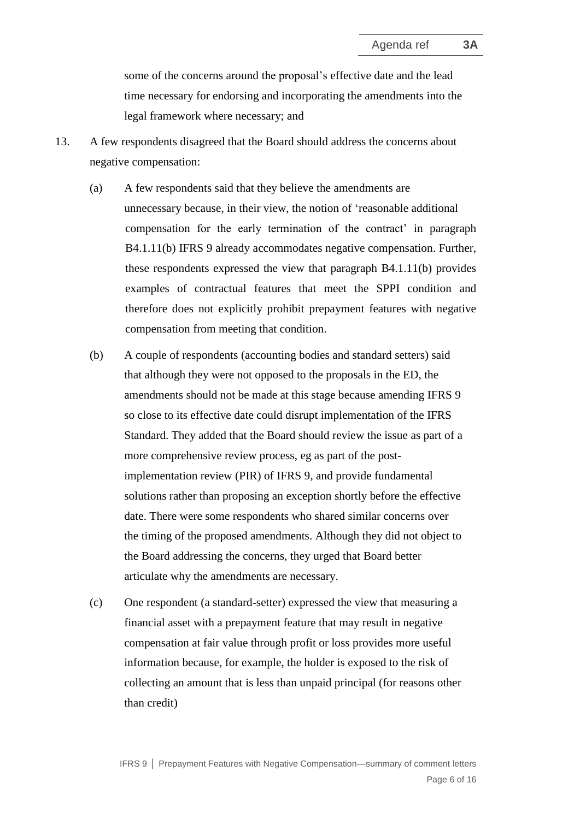some of the concerns around the proposal's effective date and the lead time necessary for endorsing and incorporating the amendments into the legal framework where necessary; and

- 13. A few respondents disagreed that the Board should address the concerns about negative compensation:
	- (a) A few respondents said that they believe the amendments are unnecessary because, in their view, the notion of 'reasonable additional compensation for the early termination of the contract' in paragraph B4.1.11(b) IFRS 9 already accommodates negative compensation. Further, these respondents expressed the view that paragraph B4.1.11(b) provides examples of contractual features that meet the SPPI condition and therefore does not explicitly prohibit prepayment features with negative compensation from meeting that condition.
	- (b) A couple of respondents (accounting bodies and standard setters) said that although they were not opposed to the proposals in the ED, the amendments should not be made at this stage because amending IFRS 9 so close to its effective date could disrupt implementation of the IFRS Standard. They added that the Board should review the issue as part of a more comprehensive review process, eg as part of the postimplementation review (PIR) of IFRS 9, and provide fundamental solutions rather than proposing an exception shortly before the effective date. There were some respondents who shared similar concerns over the timing of the proposed amendments. Although they did not object to the Board addressing the concerns, they urged that Board better articulate why the amendments are necessary.
	- (c) One respondent (a standard-setter) expressed the view that measuring a financial asset with a prepayment feature that may result in negative compensation at fair value through profit or loss provides more useful information because, for example, the holder is exposed to the risk of collecting an amount that is less than unpaid principal (for reasons other than credit)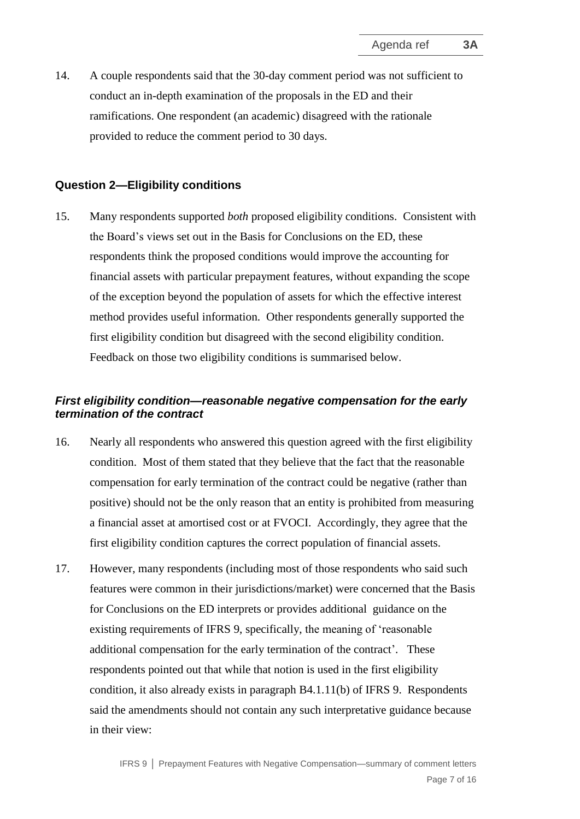14. A couple respondents said that the 30-day comment period was not sufficient to conduct an in-depth examination of the proposals in the ED and their ramifications. One respondent (an academic) disagreed with the rationale provided to reduce the comment period to 30 days.

#### **Question 2—Eligibility conditions**

15. Many respondents supported *both* proposed eligibility conditions. Consistent with the Board's views set out in the Basis for Conclusions on the ED, these respondents think the proposed conditions would improve the accounting for financial assets with particular prepayment features, without expanding the scope of the exception beyond the population of assets for which the effective interest method provides useful information. Other respondents generally supported the first eligibility condition but disagreed with the second eligibility condition. Feedback on those two eligibility conditions is summarised below.

## *First eligibility condition—reasonable negative compensation for the early termination of the contract*

- 16. Nearly all respondents who answered this question agreed with the first eligibility condition. Most of them stated that they believe that the fact that the reasonable compensation for early termination of the contract could be negative (rather than positive) should not be the only reason that an entity is prohibited from measuring a financial asset at amortised cost or at FVOCI. Accordingly, they agree that the first eligibility condition captures the correct population of financial assets.
- 17. However, many respondents (including most of those respondents who said such features were common in their jurisdictions/market) were concerned that the Basis for Conclusions on the ED interprets or provides additional guidance on the existing requirements of IFRS 9, specifically, the meaning of 'reasonable additional compensation for the early termination of the contract'. These respondents pointed out that while that notion is used in the first eligibility condition, it also already exists in paragraph B4.1.11(b) of IFRS 9. Respondents said the amendments should not contain any such interpretative guidance because in their view: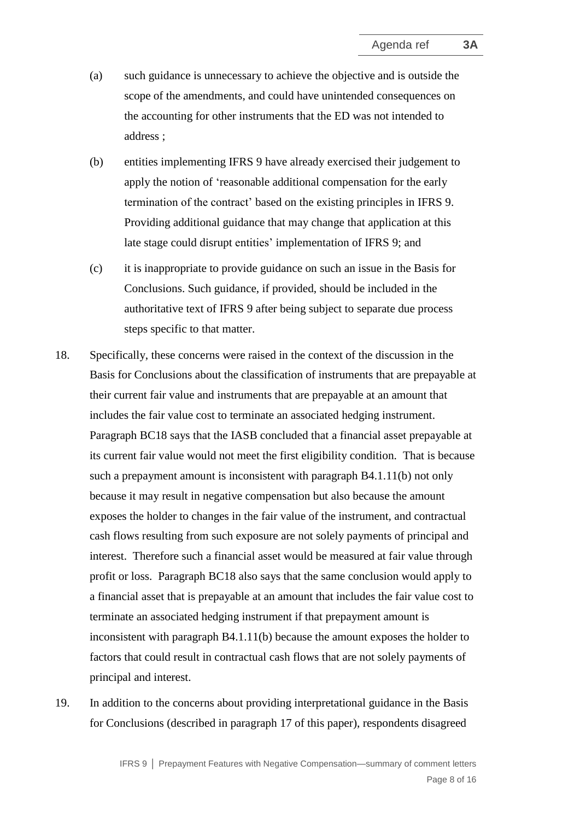- (a) such guidance is unnecessary to achieve the objective and is outside the scope of the amendments, and could have unintended consequences on the accounting for other instruments that the ED was not intended to address ;
- (b) entities implementing IFRS 9 have already exercised their judgement to apply the notion of 'reasonable additional compensation for the early termination of the contract' based on the existing principles in IFRS 9. Providing additional guidance that may change that application at this late stage could disrupt entities' implementation of IFRS 9; and
- (c) it is inappropriate to provide guidance on such an issue in the Basis for Conclusions. Such guidance, if provided, should be included in the authoritative text of IFRS 9 after being subject to separate due process steps specific to that matter.
- 18. Specifically, these concerns were raised in the context of the discussion in the Basis for Conclusions about the classification of instruments that are prepayable at their current fair value and instruments that are prepayable at an amount that includes the fair value cost to terminate an associated hedging instrument. Paragraph BC18 says that the IASB concluded that a financial asset prepayable at its current fair value would not meet the first eligibility condition. That is because such a prepayment amount is inconsistent with paragraph B4.1.11(b) not only because it may result in negative compensation but also because the amount exposes the holder to changes in the fair value of the instrument, and contractual cash flows resulting from such exposure are not solely payments of principal and interest. Therefore such a financial asset would be measured at fair value through profit or loss. Paragraph BC18 also says that the same conclusion would apply to a financial asset that is prepayable at an amount that includes the fair value cost to terminate an associated hedging instrument if that prepayment amount is inconsistent with paragraph B4.1.11(b) because the amount exposes the holder to factors that could result in contractual cash flows that are not solely payments of principal and interest.
- 19. In addition to the concerns about providing interpretational guidance in the Basis for Conclusions (described in paragraph 17 of this paper), respondents disagreed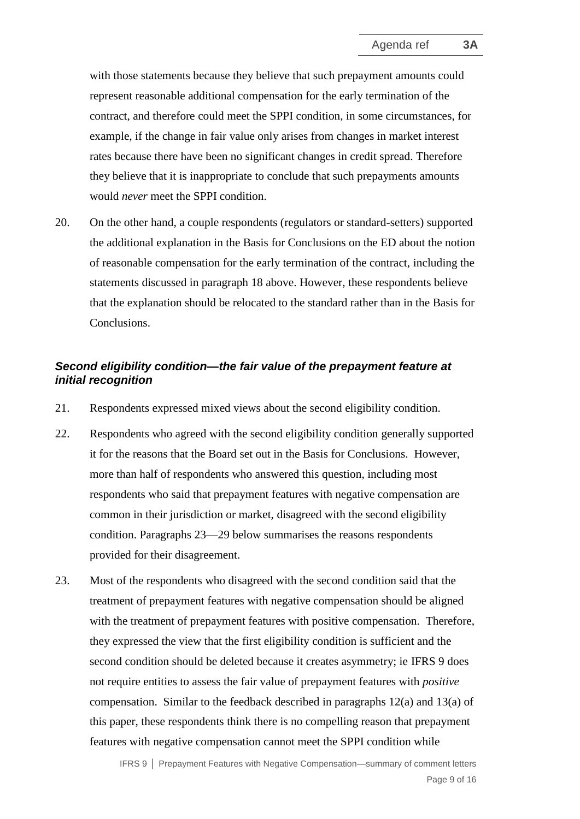with those statements because they believe that such prepayment amounts could represent reasonable additional compensation for the early termination of the contract, and therefore could meet the SPPI condition, in some circumstances, for example, if the change in fair value only arises from changes in market interest rates because there have been no significant changes in credit spread. Therefore they believe that it is inappropriate to conclude that such prepayments amounts would *never* meet the SPPI condition.

20. On the other hand, a couple respondents (regulators or standard-setters) supported the additional explanation in the Basis for Conclusions on the ED about the notion of reasonable compensation for the early termination of the contract, including the statements discussed in paragraph 18 above. However, these respondents believe that the explanation should be relocated to the standard rather than in the Basis for Conclusions.

## *Second eligibility condition—the fair value of the prepayment feature at initial recognition*

- 21. Respondents expressed mixed views about the second eligibility condition.
- 22. Respondents who agreed with the second eligibility condition generally supported it for the reasons that the Board set out in the Basis for Conclusions. However, more than half of respondents who answered this question, including most respondents who said that prepayment features with negative compensation are common in their jurisdiction or market, disagreed with the second eligibility condition. Paragraphs 23—29 below summarises the reasons respondents provided for their disagreement.
- 23. Most of the respondents who disagreed with the second condition said that the treatment of prepayment features with negative compensation should be aligned with the treatment of prepayment features with positive compensation. Therefore, they expressed the view that the first eligibility condition is sufficient and the second condition should be deleted because it creates asymmetry; ie IFRS 9 does not require entities to assess the fair value of prepayment features with *positive* compensation. Similar to the feedback described in paragraphs 12(a) and 13(a) of this paper, these respondents think there is no compelling reason that prepayment features with negative compensation cannot meet the SPPI condition while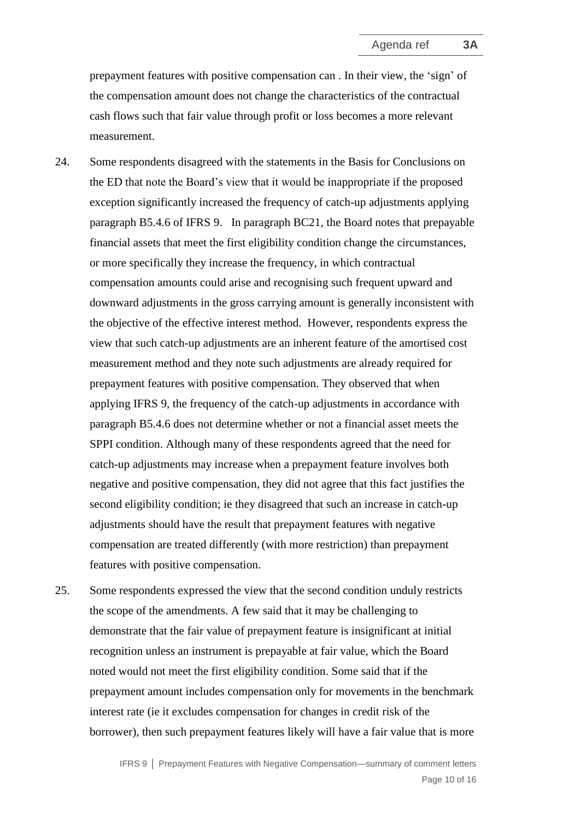prepayment features with positive compensation can . In their view, the 'sign' of the compensation amount does not change the characteristics of the contractual cash flows such that fair value through profit or loss becomes a more relevant measurement.

- 24. Some respondents disagreed with the statements in the Basis for Conclusions on the ED that note the Board's view that it would be inappropriate if the proposed exception significantly increased the frequency of catch-up adjustments applying paragraph B5.4.6 of IFRS 9. In paragraph BC21, the Board notes that prepayable financial assets that meet the first eligibility condition change the circumstances, or more specifically they increase the frequency, in which contractual compensation amounts could arise and recognising such frequent upward and downward adjustments in the gross carrying amount is generally inconsistent with the objective of the effective interest method. However, respondents express the view that such catch-up adjustments are an inherent feature of the amortised cost measurement method and they note such adjustments are already required for prepayment features with positive compensation. They observed that when applying IFRS 9, the frequency of the catch-up adjustments in accordance with paragraph B5.4.6 does not determine whether or not a financial asset meets the SPPI condition. Although many of these respondents agreed that the need for catch-up adjustments may increase when a prepayment feature involves both negative and positive compensation, they did not agree that this fact justifies the second eligibility condition; ie they disagreed that such an increase in catch-up adjustments should have the result that prepayment features with negative compensation are treated differently (with more restriction) than prepayment features with positive compensation.
- 25. Some respondents expressed the view that the second condition unduly restricts the scope of the amendments. A few said that it may be challenging to demonstrate that the fair value of prepayment feature is insignificant at initial recognition unless an instrument is prepayable at fair value, which the Board noted would not meet the first eligibility condition. Some said that if the prepayment amount includes compensation only for movements in the benchmark interest rate (ie it excludes compensation for changes in credit risk of the borrower), then such prepayment features likely will have a fair value that is more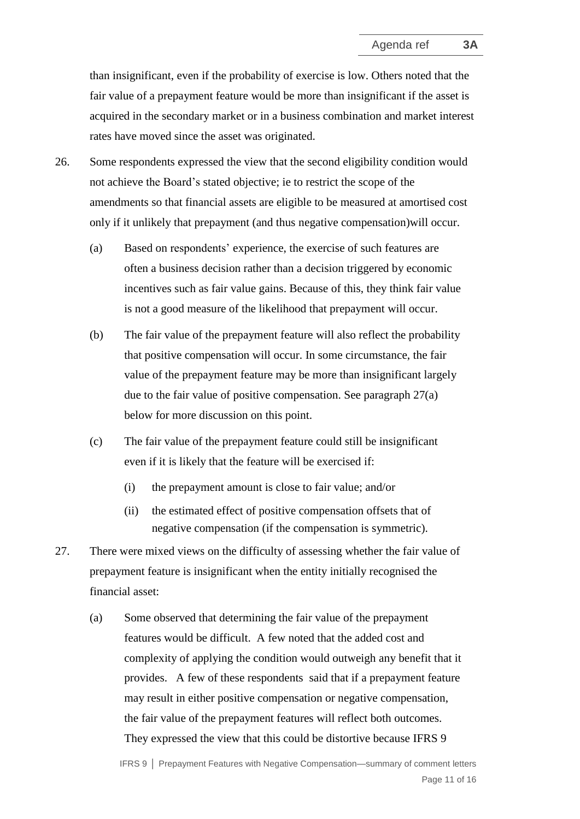than insignificant, even if the probability of exercise is low. Others noted that the fair value of a prepayment feature would be more than insignificant if the asset is acquired in the secondary market or in a business combination and market interest rates have moved since the asset was originated.

- 26. Some respondents expressed the view that the second eligibility condition would not achieve the Board's stated objective; ie to restrict the scope of the amendments so that financial assets are eligible to be measured at amortised cost only if it unlikely that prepayment (and thus negative compensation)will occur.
	- (a) Based on respondents' experience, the exercise of such features are often a business decision rather than a decision triggered by economic incentives such as fair value gains. Because of this, they think fair value is not a good measure of the likelihood that prepayment will occur.
	- (b) The fair value of the prepayment feature will also reflect the probability that positive compensation will occur. In some circumstance, the fair value of the prepayment feature may be more than insignificant largely due to the fair value of positive compensation. See paragraph 27(a) below for more discussion on this point.
	- (c) The fair value of the prepayment feature could still be insignificant even if it is likely that the feature will be exercised if:
		- (i) the prepayment amount is close to fair value; and/or
		- (ii) the estimated effect of positive compensation offsets that of negative compensation (if the compensation is symmetric).
- 27. There were mixed views on the difficulty of assessing whether the fair value of prepayment feature is insignificant when the entity initially recognised the financial asset:
	- (a) Some observed that determining the fair value of the prepayment features would be difficult. A few noted that the added cost and complexity of applying the condition would outweigh any benefit that it provides. A few of these respondents said that if a prepayment feature may result in either positive compensation or negative compensation, the fair value of the prepayment features will reflect both outcomes. They expressed the view that this could be distortive because IFRS 9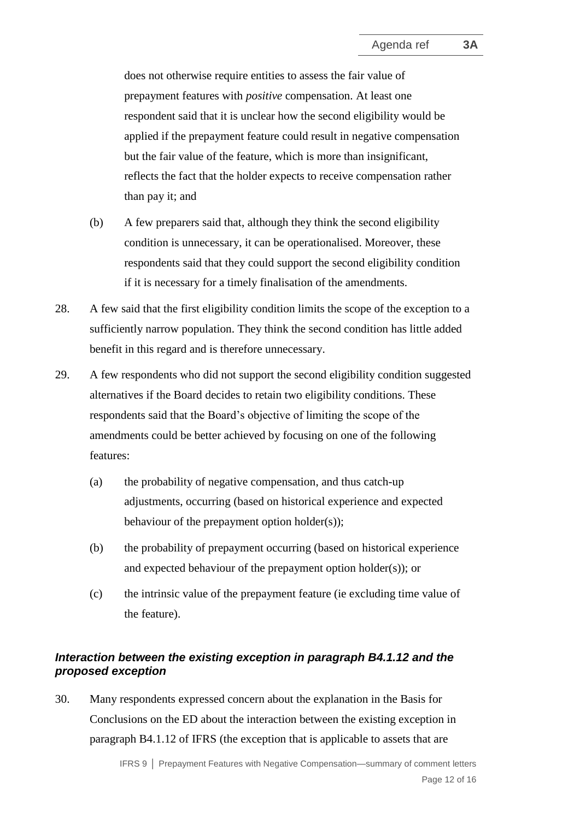does not otherwise require entities to assess the fair value of prepayment features with *positive* compensation. At least one respondent said that it is unclear how the second eligibility would be applied if the prepayment feature could result in negative compensation but the fair value of the feature, which is more than insignificant, reflects the fact that the holder expects to receive compensation rather than pay it; and

- (b) A few preparers said that, although they think the second eligibility condition is unnecessary, it can be operationalised. Moreover, these respondents said that they could support the second eligibility condition if it is necessary for a timely finalisation of the amendments.
- 28. A few said that the first eligibility condition limits the scope of the exception to a sufficiently narrow population. They think the second condition has little added benefit in this regard and is therefore unnecessary.
- 29. A few respondents who did not support the second eligibility condition suggested alternatives if the Board decides to retain two eligibility conditions. These respondents said that the Board's objective of limiting the scope of the amendments could be better achieved by focusing on one of the following features:
	- (a) the probability of negative compensation, and thus catch-up adjustments, occurring (based on historical experience and expected behaviour of the prepayment option holder(s));
	- (b) the probability of prepayment occurring (based on historical experience and expected behaviour of the prepayment option holder(s)); or
	- (c) the intrinsic value of the prepayment feature (ie excluding time value of the feature).

## *Interaction between the existing exception in paragraph B4.1.12 and the proposed exception*

30. Many respondents expressed concern about the explanation in the Basis for Conclusions on the ED about the interaction between the existing exception in paragraph B4.1.12 of IFRS (the exception that is applicable to assets that are

> IFRS 9 **│** Prepayment Features with Negative Compensation—summary of comment letters Page 12 of 16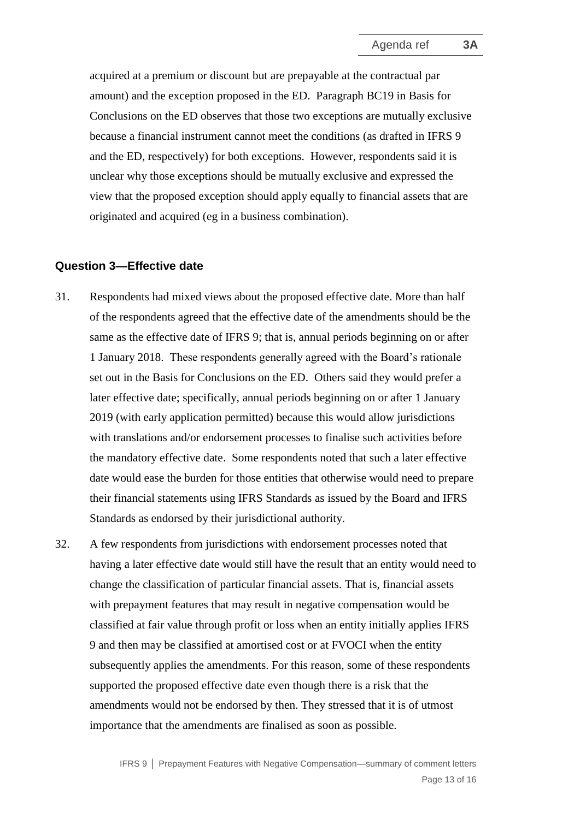acquired at a premium or discount but are prepayable at the contractual par amount) and the exception proposed in the ED. Paragraph BC19 in Basis for Conclusions on the ED observes that those two exceptions are mutually exclusive because a financial instrument cannot meet the conditions (as drafted in IFRS 9 and the ED, respectively) for both exceptions. However, respondents said it is unclear why those exceptions should be mutually exclusive and expressed the view that the proposed exception should apply equally to financial assets that are originated and acquired (eg in a business combination).

#### **Question 3—Effective date**

- 31. Respondents had mixed views about the proposed effective date. More than half of the respondents agreed that the effective date of the amendments should be the same as the effective date of IFRS 9; that is, annual periods beginning on or after 1 January 2018. These respondents generally agreed with the Board's rationale set out in the Basis for Conclusions on the ED. Others said they would prefer a later effective date; specifically, annual periods beginning on or after 1 January 2019 (with early application permitted) because this would allow jurisdictions with translations and/or endorsement processes to finalise such activities before the mandatory effective date. Some respondents noted that such a later effective date would ease the burden for those entities that otherwise would need to prepare their financial statements using IFRS Standards as issued by the Board and IFRS Standards as endorsed by their jurisdictional authority.
- 32. A few respondents from jurisdictions with endorsement processes noted that having a later effective date would still have the result that an entity would need to change the classification of particular financial assets. That is, financial assets with prepayment features that may result in negative compensation would be classified at fair value through profit or loss when an entity initially applies IFRS 9 and then may be classified at amortised cost or at FVOCI when the entity subsequently applies the amendments. For this reason, some of these respondents supported the proposed effective date even though there is a risk that the amendments would not be endorsed by then. They stressed that it is of utmost importance that the amendments are finalised as soon as possible.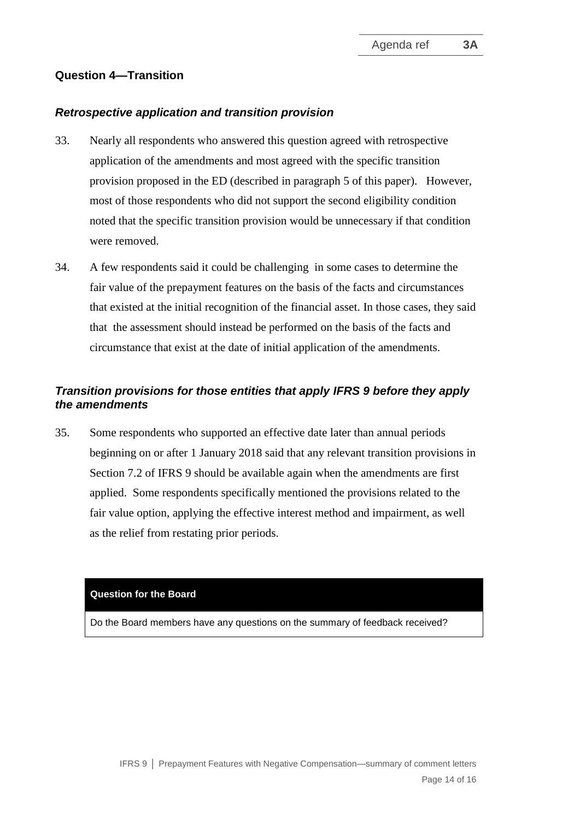## **Question 4—Transition**

#### *Retrospective application and transition provision*

- 33. Nearly all respondents who answered this question agreed with retrospective application of the amendments and most agreed with the specific transition provision proposed in the ED (described in paragraph 5 of this paper). However, most of those respondents who did not support the second eligibility condition noted that the specific transition provision would be unnecessary if that condition were removed.
- 34. A few respondents said it could be challenging in some cases to determine the fair value of the prepayment features on the basis of the facts and circumstances that existed at the initial recognition of the financial asset. In those cases, they said that the assessment should instead be performed on the basis of the facts and circumstance that exist at the date of initial application of the amendments.

## *Transition provisions for those entities that apply IFRS 9 before they apply the amendments*

35. Some respondents who supported an effective date later than annual periods beginning on or after 1 January 2018 said that any relevant transition provisions in Section 7.2 of IFRS 9 should be available again when the amendments are first applied. Some respondents specifically mentioned the provisions related to the fair value option, applying the effective interest method and impairment, as well as the relief from restating prior periods.

#### **Question for the Board**

Do the Board members have any questions on the summary of feedback received?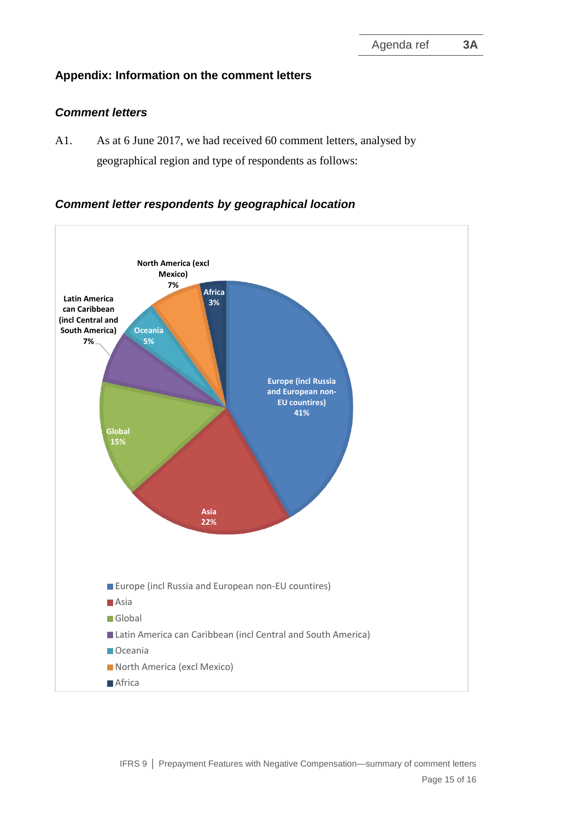## **Appendix: Information on the comment letters**

## *Comment letters*

A1. As at 6 June 2017, we had received 60 comment letters, analysed by geographical region and type of respondents as follows:

## *Comment letter respondents by geographical location*